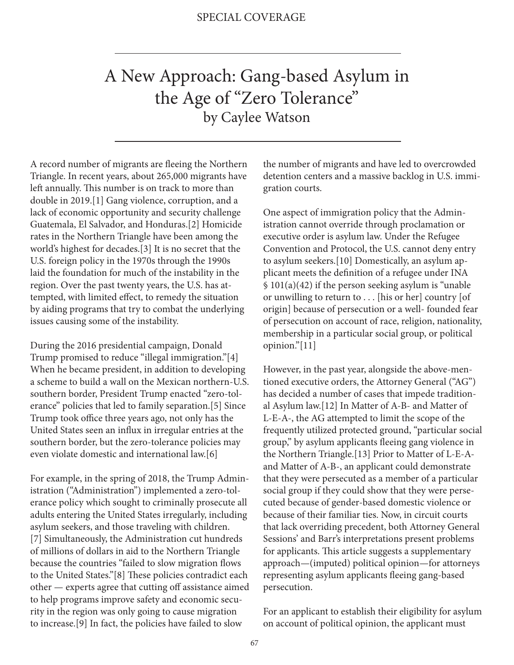## A New Approach: Gang-based Asylum in the Age of "Zero Tolerance" by Caylee Watson

A record number of migrants are fleeing the Northern Triangle. In recent years, about 265,000 migrants have left annually. This number is on track to more than double in 2019.[1] Gang violence, corruption, and a lack of economic opportunity and security challenge Guatemala, El Salvador, and Honduras.[2] Homicide rates in the Northern Triangle have been among the world's highest for decades.[3] It is no secret that the U.S. foreign policy in the 1970s through the 1990s laid the foundation for much of the instability in the region. Over the past twenty years, the U.S. has attempted, with limited effect, to remedy the situation by aiding programs that try to combat the underlying issues causing some of the instability.

During the 2016 presidential campaign, Donald Trump promised to reduce "illegal immigration."[4] When he became president, in addition to developing a scheme to build a wall on the Mexican northern-U.S. southern border, President Trump enacted "zero-tolerance" policies that led to family separation.[5] Since Trump took office three years ago, not only has the United States seen an influx in irregular entries at the southern border, but the zero-tolerance policies may even violate domestic and international law.[6]

For example, in the spring of 2018, the Trump Administration ("Administration") implemented a zero-tolerance policy which sought to criminally prosecute all adults entering the United States irregularly, including asylum seekers, and those traveling with children. [7] Simultaneously, the Administration cut hundreds of millions of dollars in aid to the Northern Triangle because the countries "failed to slow migration flows to the United States."[8] These policies contradict each other — experts agree that cutting off assistance aimed to help programs improve safety and economic security in the region was only going to cause migration to increase.[9] In fact, the policies have failed to slow

the number of migrants and have led to overcrowded detention centers and a massive backlog in U.S. immigration courts.

One aspect of immigration policy that the Administration cannot override through proclamation or executive order is asylum law. Under the Refugee Convention and Protocol, the U.S. cannot deny entry to asylum seekers.[10] Domestically, an asylum applicant meets the definition of a refugee under INA § 101(a)(42) if the person seeking asylum is "unable or unwilling to return to . . . [his or her] country [of origin] because of persecution or a well- founded fear of persecution on account of race, religion, nationality, membership in a particular social group, or political opinion."[11]

However, in the past year, alongside the above-mentioned executive orders, the Attorney General ("AG") has decided a number of cases that impede traditional Asylum law.[12] In Matter of A-B- and Matter of L-E-A-, the AG attempted to limit the scope of the frequently utilized protected ground, "particular social group," by asylum applicants fleeing gang violence in the Northern Triangle.[13] Prior to Matter of L-E-Aand Matter of A-B-, an applicant could demonstrate that they were persecuted as a member of a particular social group if they could show that they were persecuted because of gender-based domestic violence or because of their familiar ties. Now, in circuit courts that lack overriding precedent, both Attorney General Sessions' and Barr's interpretations present problems for applicants. This article suggests a supplementary approach—(imputed) political opinion—for attorneys representing asylum applicants fleeing gang-based persecution.

For an applicant to establish their eligibility for asylum on account of political opinion, the applicant must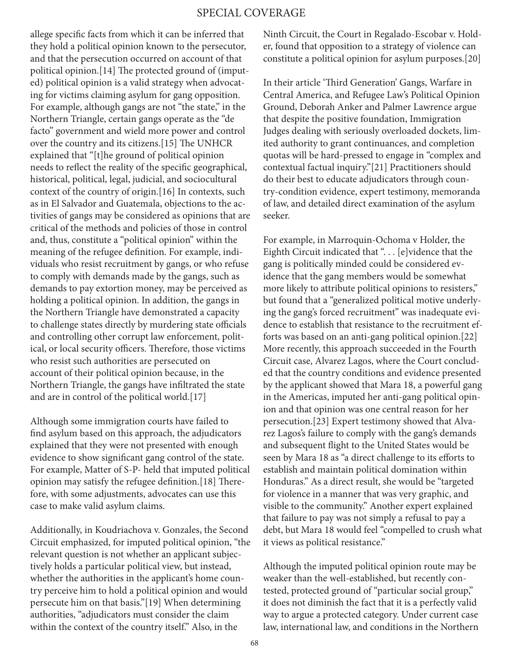allege specific facts from which it can be inferred that they hold a political opinion known to the persecutor, and that the persecution occurred on account of that political opinion.[14] The protected ground of (imputed) political opinion is a valid strategy when advocating for victims claiming asylum for gang opposition. For example, although gangs are not "the state," in the Northern Triangle, certain gangs operate as the "de facto" government and wield more power and control over the country and its citizens.[15] The UNHCR explained that "[t]he ground of political opinion needs to reflect the reality of the specific geographical, historical, political, legal, judicial, and sociocultural context of the country of origin.[16] In contexts, such as in El Salvador and Guatemala, objections to the activities of gangs may be considered as opinions that are critical of the methods and policies of those in control and, thus, constitute a "political opinion" within the meaning of the refugee definition. For example, individuals who resist recruitment by gangs, or who refuse to comply with demands made by the gangs, such as demands to pay extortion money, may be perceived as holding a political opinion. In addition, the gangs in the Northern Triangle have demonstrated a capacity to challenge states directly by murdering state officials and controlling other corrupt law enforcement, political, or local security officers. Therefore, those victims who resist such authorities are persecuted on account of their political opinion because, in the Northern Triangle, the gangs have infiltrated the state and are in control of the political world.[17]

Although some immigration courts have failed to find asylum based on this approach, the adjudicators explained that they were not presented with enough evidence to show significant gang control of the state. For example, Matter of S-P- held that imputed political opinion may satisfy the refugee definition.[18] Therefore, with some adjustments, advocates can use this case to make valid asylum claims.

Additionally, in Koudriachova v. Gonzales, the Second Circuit emphasized, for imputed political opinion, "the relevant question is not whether an applicant subjectively holds a particular political view, but instead, whether the authorities in the applicant's home country perceive him to hold a political opinion and would persecute him on that basis."[19] When determining authorities, "adjudicators must consider the claim within the context of the country itself." Also, in the

Ninth Circuit, the Court in Regalado-Escobar v. Holder, found that opposition to a strategy of violence can constitute a political opinion for asylum purposes.[20]

In their article 'Third Generation' Gangs, Warfare in Central America, and Refugee Law's Political Opinion Ground, Deborah Anker and Palmer Lawrence argue that despite the positive foundation, Immigration Judges dealing with seriously overloaded dockets, limited authority to grant continuances, and completion quotas will be hard-pressed to engage in "complex and contextual factual inquiry."[21] Practitioners should do their best to educate adjudicators through country-condition evidence, expert testimony, memoranda of law, and detailed direct examination of the asylum seeker.

For example, in Marroquin-Ochoma v Holder, the Eighth Circuit indicated that ". . . [e] vidence that the gang is politically minded could be considered evidence that the gang members would be somewhat more likely to attribute political opinions to resisters," but found that a "generalized political motive underlying the gang's forced recruitment" was inadequate evidence to establish that resistance to the recruitment efforts was based on an anti-gang political opinion.[22] More recently, this approach succeeded in the Fourth Circuit case, Alvarez Lagos, where the Court concluded that the country conditions and evidence presented by the applicant showed that Mara 18, a powerful gang in the Americas, imputed her anti-gang political opinion and that opinion was one central reason for her persecution.[23] Expert testimony showed that Alvarez Lagos's failure to comply with the gang's demands and subsequent flight to the United States would be seen by Mara 18 as "a direct challenge to its efforts to establish and maintain political domination within Honduras." As a direct result, she would be "targeted for violence in a manner that was very graphic, and visible to the community." Another expert explained that failure to pay was not simply a refusal to pay a debt, but Mara 18 would feel "compelled to crush what it views as political resistance."

Although the imputed political opinion route may be weaker than the well-established, but recently contested, protected ground of "particular social group," it does not diminish the fact that it is a perfectly valid way to argue a protected category. Under current case law, international law, and conditions in the Northern